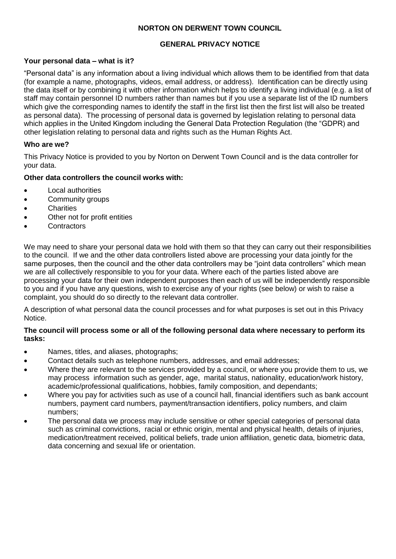# **NORTON ON DERWENT TOWN COUNCIL**

## **GENERAL PRIVACY NOTICE**

### **Your personal data – what is it?**

"Personal data" is any information about a living individual which allows them to be identified from that data (for example a name, photographs, videos, email address, or address). Identification can be directly using the data itself or by combining it with other information which helps to identify a living individual (e.g. a list of staff may contain personnel ID numbers rather than names but if you use a separate list of the ID numbers which give the corresponding names to identify the staff in the first list then the first list will also be treated as personal data). The processing of personal data is governed by legislation relating to personal data which applies in the United Kingdom including the General Data Protection Regulation (the "GDPR) and other legislation relating to personal data and rights such as the Human Rights Act.

### **Who are we?**

This Privacy Notice is provided to you by Norton on Derwent Town Council and is the data controller for your data.

### **Other data controllers the council works with:**

- Local authorities
- Community groups
- **Charities**
- Other not for profit entities
- **Contractors**

We may need to share your personal data we hold with them so that they can carry out their responsibilities to the council. If we and the other data controllers listed above are processing your data jointly for the same purposes, then the council and the other data controllers may be "joint data controllers" which mean we are all collectively responsible to you for your data. Where each of the parties listed above are processing your data for their own independent purposes then each of us will be independently responsible to you and if you have any questions, wish to exercise any of your rights (see below) or wish to raise a complaint, you should do so directly to the relevant data controller.

A description of what personal data the council processes and for what purposes is set out in this Privacy Notice.

#### **The council will process some or all of the following personal data where necessary to perform its tasks:**

- Names, titles, and aliases, photographs;
- Contact details such as telephone numbers, addresses, and email addresses;
- Where they are relevant to the services provided by a council, or where you provide them to us, we may process information such as gender, age, marital status, nationality, education/work history, academic/professional qualifications, hobbies, family composition, and dependants;
- Where you pay for activities such as use of a council hall, financial identifiers such as bank account numbers, payment card numbers, payment/transaction identifiers, policy numbers, and claim numbers;
- The personal data we process may include sensitive or other special categories of personal data such as criminal convictions, racial or ethnic origin, mental and physical health, details of injuries, medication/treatment received, political beliefs, trade union affiliation, genetic data, biometric data, data concerning and sexual life or orientation.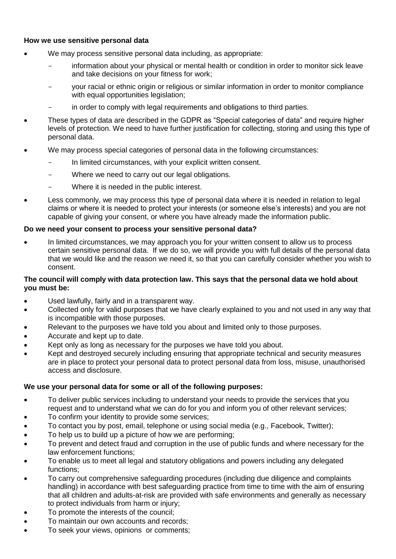### **How we use sensitive personal data**

- We may process sensitive personal data including, as appropriate:
	- information about your physical or mental health or condition in order to monitor sick leave and take decisions on your fitness for work;
	- your racial or ethnic origin or religious or similar information in order to monitor compliance with equal opportunities legislation;
	- in order to comply with legal requirements and obligations to third parties.
- These types of data are described in the GDPR as "Special categories of data" and require higher levels of protection. We need to have further justification for collecting, storing and using this type of personal data.
- We may process special categories of personal data in the following circumstances:
	- In limited circumstances, with your explicit written consent.
	- Where we need to carry out our legal obligations.
	- Where it is needed in the public interest.
- Less commonly, we may process this type of personal data where it is needed in relation to legal claims or where it is needed to protect your interests (or someone else's interests) and you are not capable of giving your consent, or where you have already made the information public.

### **Do we need your consent to process your sensitive personal data?**

 In limited circumstances, we may approach you for your written consent to allow us to process certain sensitive personal data. If we do so, we will provide you with full details of the personal data that we would like and the reason we need it, so that you can carefully consider whether you wish to consent.

### **The council will comply with data protection law. This says that the personal data we hold about you must be:**

- Used lawfully, fairly and in a transparent way.
- Collected only for valid purposes that we have clearly explained to you and not used in any way that is incompatible with those purposes.
- Relevant to the purposes we have told you about and limited only to those purposes.
- Accurate and kept up to date.
- Kept only as long as necessary for the purposes we have told you about.
- Kept and destroyed securely including ensuring that appropriate technical and security measures are in place to protect your personal data to protect personal data from loss, misuse, unauthorised access and disclosure.

## **We use your personal data for some or all of the following purposes:**

- To deliver public services including to understand your needs to provide the services that you request and to understand what we can do for you and inform you of other relevant services;
- To confirm your identity to provide some services;
- To contact you by post, email, telephone or using social media (e.g., Facebook, Twitter);
- To help us to build up a picture of how we are performing;
- To prevent and detect fraud and corruption in the use of public funds and where necessary for the law enforcement functions;
- To enable us to meet all legal and statutory obligations and powers including any delegated functions;
- To carry out comprehensive safeguarding procedures (including due diligence and complaints handling) in accordance with best safeguarding practice from time to time with the aim of ensuring that all children and adults-at-risk are provided with safe environments and generally as necessary to protect individuals from harm or injury;
- To promote the interests of the council;
- To maintain our own accounts and records;
- To seek your views, opinions or comments;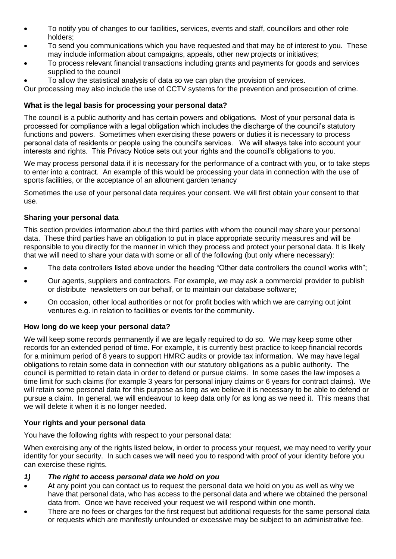- To notify you of changes to our facilities, services, events and staff, councillors and other role holders;
- To send you communications which you have requested and that may be of interest to you. These may include information about campaigns, appeals, other new projects or initiatives;
- To process relevant financial transactions including grants and payments for goods and services supplied to the council
- To allow the statistical analysis of data so we can plan the provision of services.

Our processing may also include the use of CCTV systems for the prevention and prosecution of crime.

# **What is the legal basis for processing your personal data?**

The council is a public authority and has certain powers and obligations. Most of your personal data is processed for compliance with a legal obligation which includes the discharge of the council's statutory functions and powers. Sometimes when exercising these powers or duties it is necessary to process personal data of residents or people using the council's services. We will always take into account your interests and rights. This Privacy Notice sets out your rights and the council's obligations to you.

We may process personal data if it is necessary for the performance of a contract with you, or to take steps to enter into a contract. An example of this would be processing your data in connection with the use of sports facilities, or the acceptance of an allotment garden tenancy

Sometimes the use of your personal data requires your consent. We will first obtain your consent to that use.

## **Sharing your personal data**

This section provides information about the third parties with whom the council may share your personal data. These third parties have an obligation to put in place appropriate security measures and will be responsible to you directly for the manner in which they process and protect your personal data. It is likely that we will need to share your data with some or all of the following (but only where necessary):

- The data controllers listed above under the heading "Other data controllers the council works with";
- Our agents, suppliers and contractors. For example, we may ask a commercial provider to publish or distribute newsletters on our behalf, or to maintain our database software;
- On occasion, other local authorities or not for profit bodies with which we are carrying out joint ventures e.g. in relation to facilities or events for the community.

## **How long do we keep your personal data?**

We will keep some records permanently if we are legally required to do so. We may keep some other records for an extended period of time. For example, it is currently best practice to keep financial records for a minimum period of 8 years to support HMRC audits or provide tax information. We may have legal obligations to retain some data in connection with our statutory obligations as a public authority. The council is permitted to retain data in order to defend or pursue claims. In some cases the law imposes a time limit for such claims (for example 3 years for personal injury claims or 6 years for contract claims). We will retain some personal data for this purpose as long as we believe it is necessary to be able to defend or pursue a claim. In general, we will endeavour to keep data only for as long as we need it. This means that we will delete it when it is no longer needed.

## **Your rights and your personal data**

You have the following rights with respect to your personal data:

When exercising any of the rights listed below, in order to process your request, we may need to verify your identity for your security. In such cases we will need you to respond with proof of your identity before you can exercise these rights.

#### *1) The right to access personal data we hold on you*

- At any point you can contact us to request the personal data we hold on you as well as why we have that personal data, who has access to the personal data and where we obtained the personal data from. Once we have received your request we will respond within one month.
- There are no fees or charges for the first request but additional requests for the same personal data or requests which are manifestly unfounded or excessive may be subject to an administrative fee.